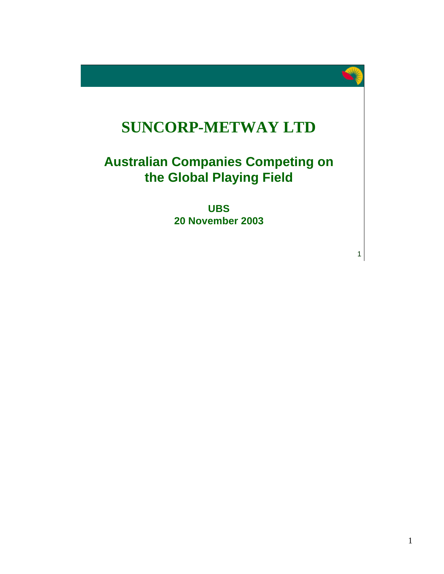

# **SUNCORP-METWAY LTD**

## **Australian Companies Competing on the Global Playing Field**

**UBS 20 November 2003**

1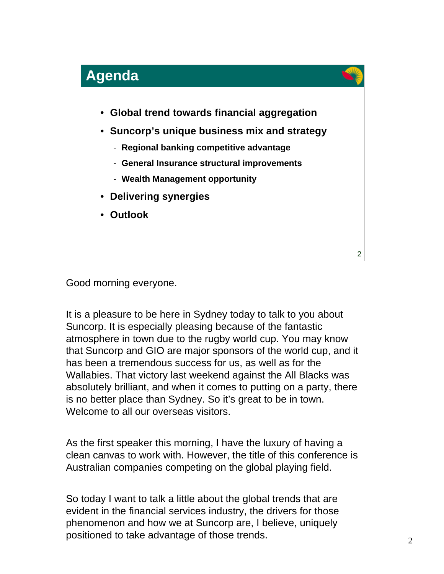

Good morning everyone.

It is a pleasure to be here in Sydney today to talk to you about Suncorp. It is especially pleasing because of the fantastic atmosphere in town due to the rugby world cup. You may know that Suncorp and GIO are major sponsors of the world cup, and it has been a tremendous success for us, as well as for the Wallabies. That victory last weekend against the All Blacks was absolutely brilliant, and when it comes to putting on a party, there is no better place than Sydney. So it's great to be in town. Welcome to all our overseas visitors.

As the first speaker this morning, I have the luxury of having a clean canvas to work with. However, the title of this conference is Australian companies competing on the global playing field.

So today I want to talk a little about the global trends that are evident in the financial services industry, the drivers for those phenomenon and how we at Suncorp are, I believe, uniquely positioned to take advantage of those trends.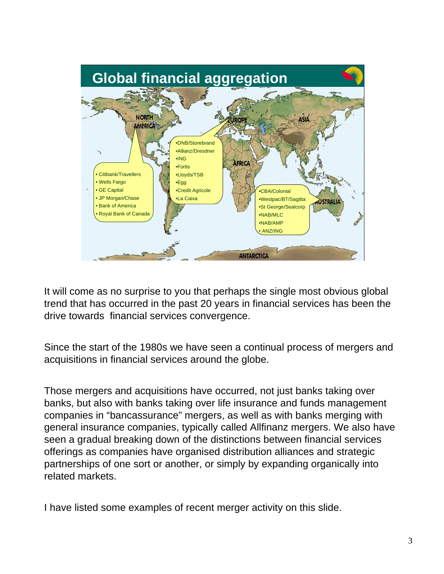

It will come as no surprise to you that perhaps the single most obvious global trend that has occurred in the past 20 years in financial services has been the drive towards financial services convergence.

Since the start of the 1980s we have seen a continual process of mergers and acquisitions in financial services around the globe.

Those mergers and acquisitions have occurred, not just banks taking over banks, but also with banks taking over life insurance and funds management companies in "bancassurance" mergers, as well as with banks merging with general insurance companies, typically called Allfinanz mergers. We also have seen a gradual breaking down of the distinctions between financial services offerings as companies have organised distribution alliances and strategic partnerships of one sort or another, or simply by expanding organically into related markets.

I have listed some examples of recent merger activity on this slide.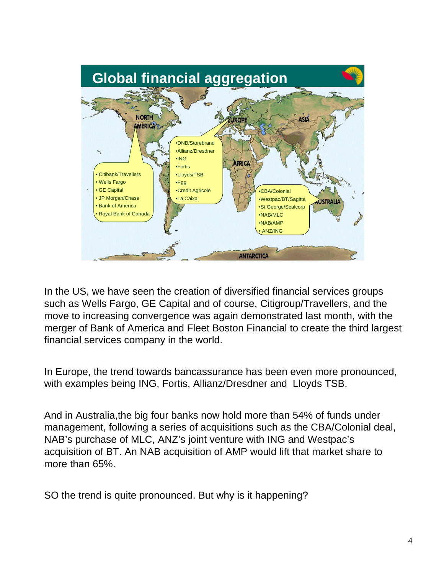

In the US, we have seen the creation of diversified financial services groups such as Wells Fargo, GE Capital and of course, Citigroup/Travellers, and the move to increasing convergence was again demonstrated last month, with the merger of Bank of America and Fleet Boston Financial to create the third largest financial services company in the world.

In Europe, the trend towards bancassurance has been even more pronounced, with examples being ING, Fortis, Allianz/Dresdner and Lloyds TSB.

And in Australia,the big four banks now hold more than 54% of funds under management, following a series of acquisitions such as the CBA/Colonial deal, NAB's purchase of MLC, ANZ's joint venture with ING and Westpac's acquisition of BT. An NAB acquisition of AMP would lift that market share to more than 65%.

SO the trend is quite pronounced. But why is it happening?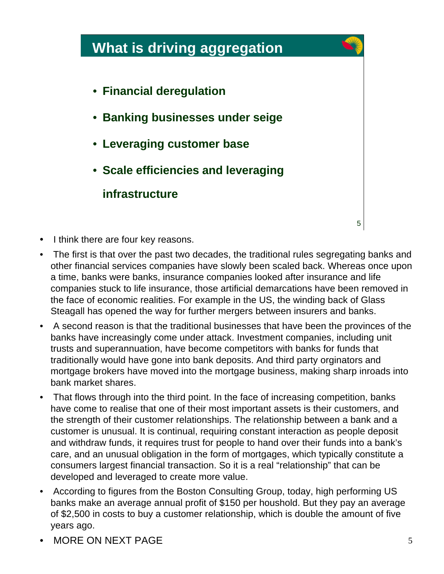

- I think there are four key reasons.
- The first is that over the past two decades, the traditional rules segregating banks and other financial services companies have slowly been scaled back. Whereas once upon a time, banks were banks, insurance companies looked after insurance and life companies stuck to life insurance, those artificial demarcations have been removed in the face of economic realities. For example in the US, the winding back of Glass Steagall has opened the way for further mergers between insurers and banks.
- A second reason is that the traditional businesses that have been the provinces of the banks have increasingly come under attack. Investment companies, including unit trusts and superannuation, have become competitors with banks for funds that traditionally would have gone into bank deposits. And third party orginators and mortgage brokers have moved into the mortgage business, making sharp inroads into bank market shares.
- That flows through into the third point. In the face of increasing competition, banks have come to realise that one of their most important assets is their customers, and the strength of their customer relationships. The relationship between a bank and a customer is unusual. It is continual, requiring constant interaction as people deposit and withdraw funds, it requires trust for people to hand over their funds into a bank's care, and an unusual obligation in the form of mortgages, which typically constitute a consumers largest financial transaction. So it is a real "relationship" that can be developed and leveraged to create more value.
- According to figures from the Boston Consulting Group, today, high performing US banks make an average annual profit of \$150 per houshold. But they pay an average of \$2,500 in costs to buy a customer relationship, which is double the amount of five years ago.
- MORE ON NEXT PAGE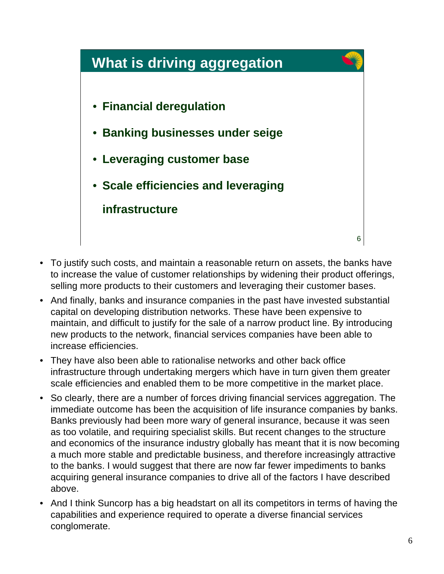## **What is driving aggregation**

- **Financial deregulation**
- **Banking businesses under seige**
- **Leveraging customer base**
- **Scale efficiencies and leveraging infrastructure**

6

- To justify such costs, and maintain a reasonable return on assets, the banks have to increase the value of customer relationships by widening their product offerings, selling more products to their customers and leveraging their customer bases.
- And finally, banks and insurance companies in the past have invested substantial capital on developing distribution networks. These have been expensive to maintain, and difficult to justify for the sale of a narrow product line. By introducing new products to the network, financial services companies have been able to increase efficiencies.
- They have also been able to rationalise networks and other back office infrastructure through undertaking mergers which have in turn given them greater scale efficiencies and enabled them to be more competitive in the market place.
- So clearly, there are a number of forces driving financial services aggregation. The immediate outcome has been the acquisition of life insurance companies by banks. Banks previously had been more wary of general insurance, because it was seen as too volatile, and requiring specialist skills. But recent changes to the structure and economics of the insurance industry globally has meant that it is now becoming a much more stable and predictable business, and therefore increasingly attractive to the banks. I would suggest that there are now far fewer impediments to banks acquiring general insurance companies to drive all of the factors I have described above.
- And I think Suncorp has a big headstart on all its competitors in terms of having the capabilities and experience required to operate a diverse financial services conglomerate.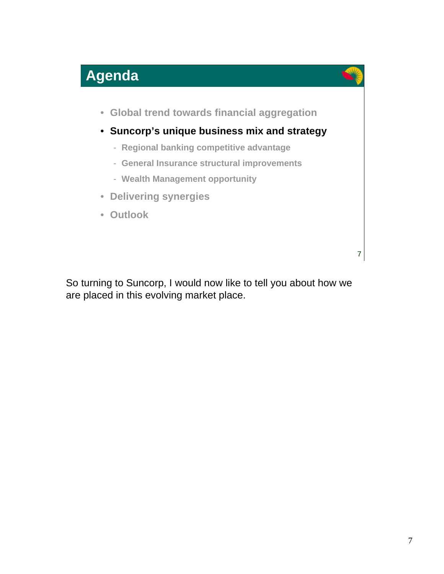

So turning to Suncorp, I would now like to tell you about how we are placed in this evolving market place.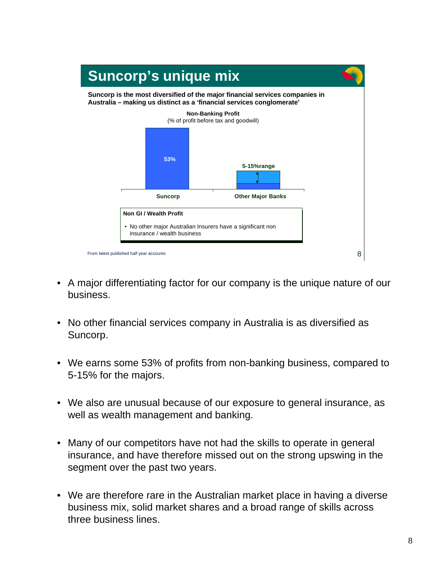

- A major differentiating factor for our company is the unique nature of our business.
- No other financial services company in Australia is as diversified as Suncorp.
- We earns some 53% of profits from non-banking business, compared to 5-15% for the majors.
- We also are unusual because of our exposure to general insurance, as well as wealth management and banking.
- Many of our competitors have not had the skills to operate in general insurance, and have therefore missed out on the strong upswing in the segment over the past two years.
- We are therefore rare in the Australian market place in having a diverse business mix, solid market shares and a broad range of skills across three business lines.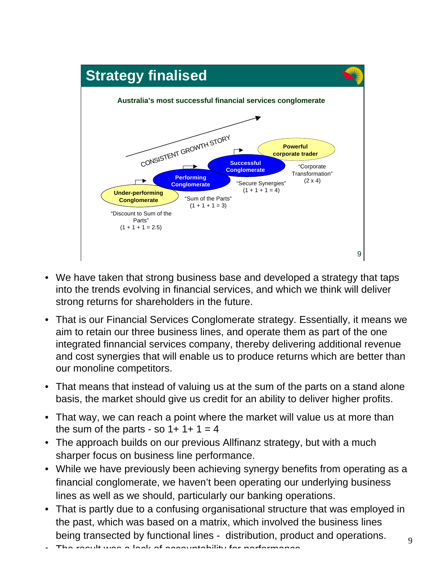

- We have taken that strong business base and developed a strategy that taps into the trends evolving in financial services, and which we think will deliver strong returns for shareholders in the future.
- That is our Financial Services Conglomerate strategy. Essentially, it means we aim to retain our three business lines, and operate them as part of the one integrated finnancial services company, thereby delivering additional revenue and cost synergies that will enable us to produce returns which are better than our monoline competitors.
- That means that instead of valuing us at the sum of the parts on a stand alone basis, the market should give us credit for an ability to deliver higher profits.
- That way, we can reach a point where the market will value us at more than the sum of the parts - so  $1+1+1=4$
- The approach builds on our previous Allfinanz strategy, but with a much sharper focus on business line performance.
- While we have previously been achieving synergy benefits from operating as a financial conglomerate, we haven't been operating our underlying business lines as well as we should, particularly our banking operations.
- That is partly due to a confusing organisational structure that was employed in the past, which was based on a matrix, which involved the business lines being transected by functional lines - distribution, product and operations.
- The result was a lack of accountability for performance.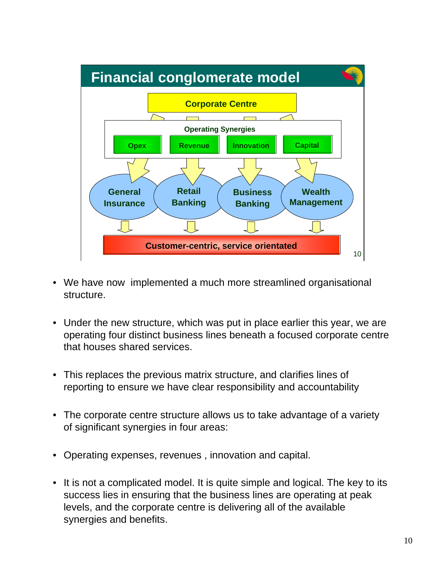

- We have now implemented a much more streamlined organisational structure.
- Under the new structure, which was put in place earlier this year, we are operating four distinct business lines beneath a focused corporate centre that houses shared services.
- This replaces the previous matrix structure, and clarifies lines of reporting to ensure we have clear responsibility and accountability
- The corporate centre structure allows us to take advantage of a variety of significant synergies in four areas:
- Operating expenses, revenues , innovation and capital.
- It is not a complicated model. It is quite simple and logical. The key to its success lies in ensuring that the business lines are operating at peak levels, and the corporate centre is delivering all of the available synergies and benefits.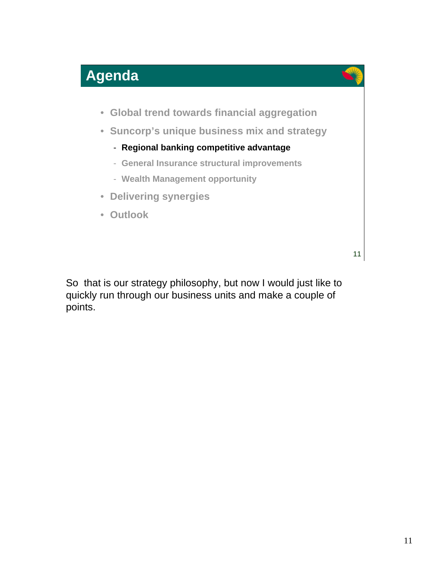

So that is our strategy philosophy, but now I would just like to quickly run through our business units and make a couple of points.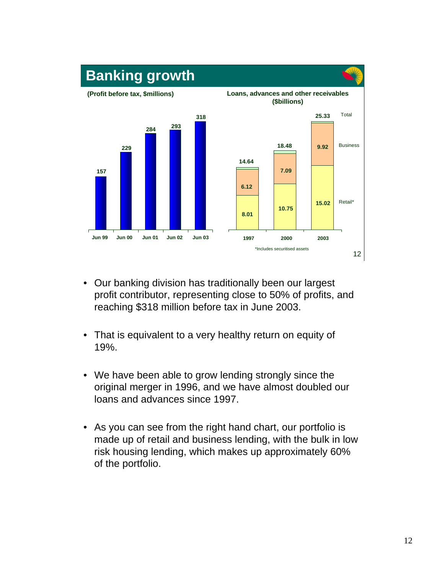

- Our banking division has traditionally been our largest profit contributor, representing close to 50% of profits, and reaching \$318 million before tax in June 2003.
- That is equivalent to a very healthy return on equity of 19%.
- We have been able to grow lending strongly since the original merger in 1996, and we have almost doubled our loans and advances since 1997.
- As you can see from the right hand chart, our portfolio is made up of retail and business lending, with the bulk in low risk housing lending, which makes up approximately 60% of the portfolio.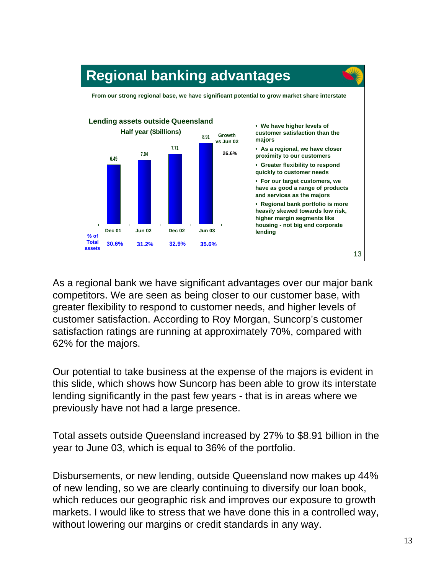

As a regional bank we have significant advantages over our major bank competitors. We are seen as being closer to our customer base, with greater flexibility to respond to customer needs, and higher levels of customer satisfaction. According to Roy Morgan, Suncorp's customer satisfaction ratings are running at approximately 70%, compared with 62% for the majors.

Our potential to take business at the expense of the majors is evident in this slide, which shows how Suncorp has been able to grow its interstate lending significantly in the past few years - that is in areas where we previously have not had a large presence.

Total assets outside Queensland increased by 27% to \$8.91 billion in the year to June 03, which is equal to 36% of the portfolio.

Disbursements, or new lending, outside Queensland now makes up 44% of new lending, so we are clearly continuing to diversify our loan book, which reduces our geographic risk and improves our exposure to growth markets. I would like to stress that we have done this in a controlled way, without lowering our margins or credit standards in any way.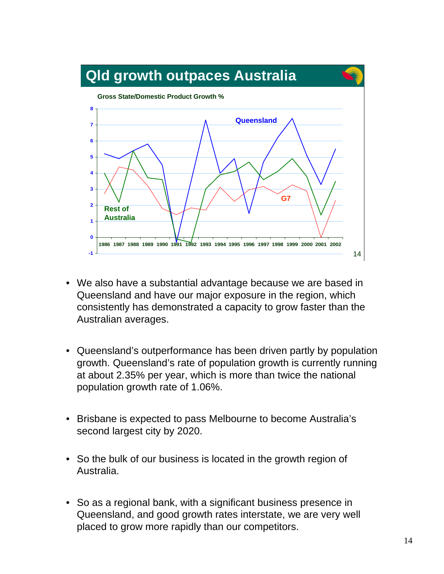

- We also have a substantial advantage because we are based in Queensland and have our major exposure in the region, which consistently has demonstrated a capacity to grow faster than the Australian averages.
- Queensland's outperformance has been driven partly by population growth. Queensland's rate of population growth is currently running at about 2.35% per year, which is more than twice the national population growth rate of 1.06%.
- Brisbane is expected to pass Melbourne to become Australia's second largest city by 2020.
- So the bulk of our business is located in the growth region of Australia.
- So as a regional bank, with a significant business presence in Queensland, and good growth rates interstate, we are very well placed to grow more rapidly than our competitors.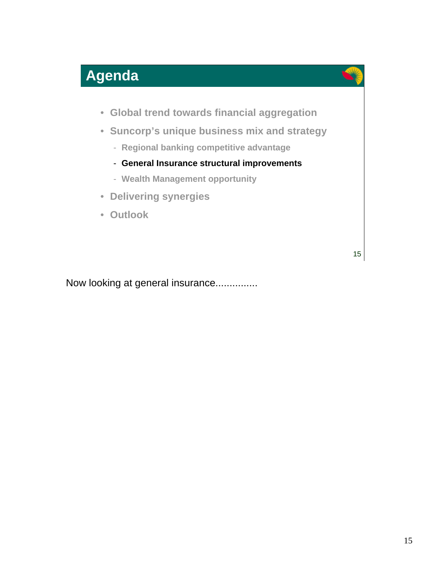## **Agenda**



- **Global trend towards financial aggregation**
- **Suncorp's unique business mix and strategy**
	- **Regional banking competitive advantage**
	- **General Insurance structural improvements**
	- **Wealth Management opportunity**
- **Delivering synergies**
- **Outlook**

15

Now looking at general insurance...............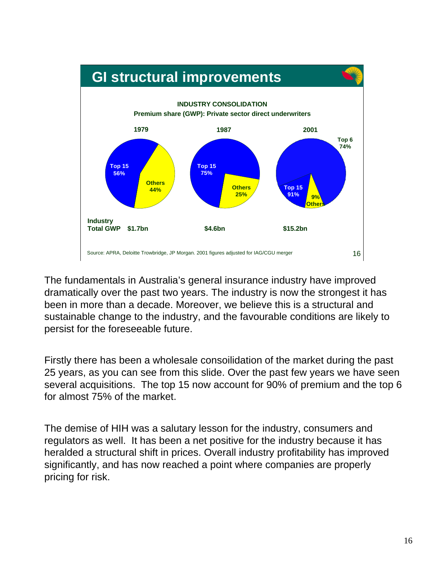# **GI structural improvements**



The fundamentals in Australia's general insurance industry have improved dramatically over the past two years. The industry is now the strongest it has been in more than a decade. Moreover, we believe this is a structural and sustainable change to the industry, and the favourable conditions are likely to persist for the foreseeable future.

Firstly there has been a wholesale consoilidation of the market during the past 25 years, as you can see from this slide. Over the past few years we have seen several acquisitions. The top 15 now account for 90% of premium and the top 6 for almost 75% of the market.

The demise of HIH was a salutary lesson for the industry, consumers and regulators as well. It has been a net positive for the industry because it has heralded a structural shift in prices. Overall industry profitability has improved significantly, and has now reached a point where companies are properly pricing for risk.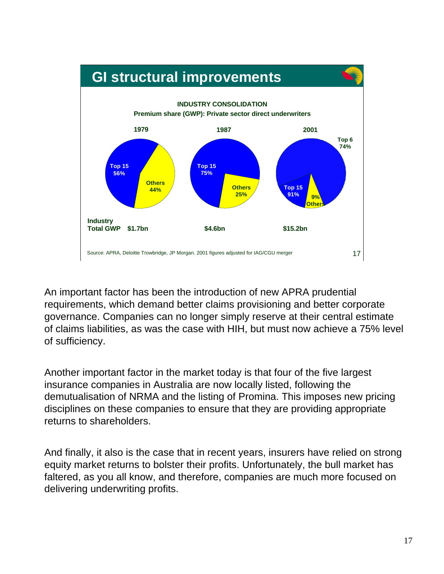## **GI structural improvements**



An important factor has been the introduction of new APRA prudential requirements, which demand better claims provisioning and better corporate governance. Companies can no longer simply reserve at their central estimate of claims liabilities, as was the case with HIH, but must now achieve a 75% level of sufficiency.

Another important factor in the market today is that four of the five largest insurance companies in Australia are now locally listed, following the demutualisation of NRMA and the listing of Promina. This imposes new pricing disciplines on these companies to ensure that they are providing appropriate returns to shareholders.

And finally, it also is the case that in recent years, insurers have relied on strong equity market returns to bolster their profits. Unfortunately, the bull market has faltered, as you all know, and therefore, companies are much more focused on delivering underwriting profits.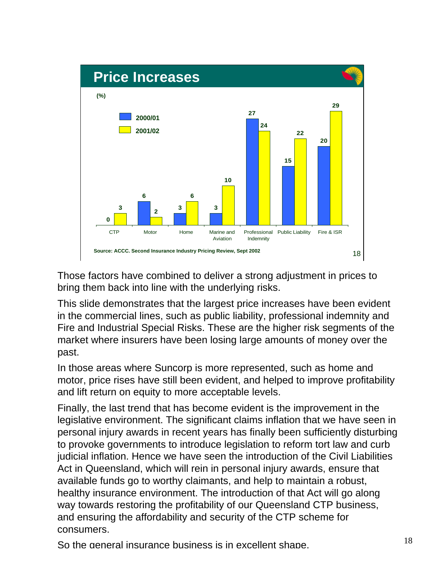

Those factors have combined to deliver a strong adjustment in prices to bring them back into line with the underlying risks.

This slide demonstrates that the largest price increases have been evident in the commercial lines, such as public liability, professional indemnity and Fire and Industrial Special Risks. These are the higher risk segments of the market where insurers have been losing large amounts of money over the past.

In those areas where Suncorp is more represented, such as home and motor, price rises have still been evident, and helped to improve profitability and lift return on equity to more acceptable levels.

Finally, the last trend that has become evident is the improvement in the legislative environment. The significant claims inflation that we have seen in personal injury awards in recent years has finally been sufficiently disturbing to provoke governments to introduce legislation to reform tort law and curb judicial inflation. Hence we have seen the introduction of the Civil Liabilities Act in Queensland, which will rein in personal injury awards, ensure that available funds go to worthy claimants, and help to maintain a robust, healthy insurance environment. The introduction of that Act will go along way towards restoring the profitability of our Queensland CTP business, and ensuring the affordability and security of the CTP scheme for consumers.

So the general insurance business is in excellent shape.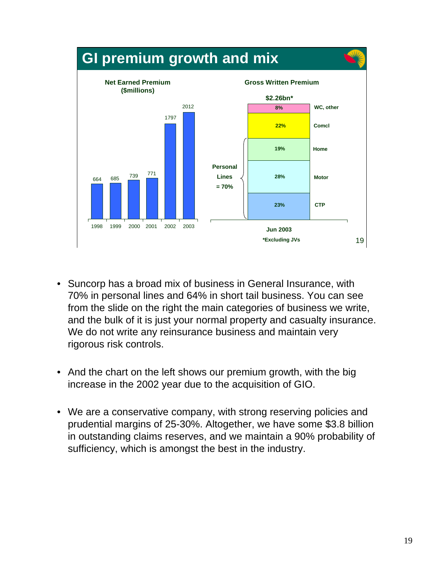

- Suncorp has a broad mix of business in General Insurance, with 70% in personal lines and 64% in short tail business. You can see from the slide on the right the main categories of business we write, and the bulk of it is just your normal property and casualty insurance. We do not write any reinsurance business and maintain very rigorous risk controls.
- And the chart on the left shows our premium growth, with the big increase in the 2002 year due to the acquisition of GIO.
- We are a conservative company, with strong reserving policies and prudential margins of 25-30%. Altogether, we have some \$3.8 billion in outstanding claims reserves, and we maintain a 90% probability of sufficiency, which is amongst the best in the industry.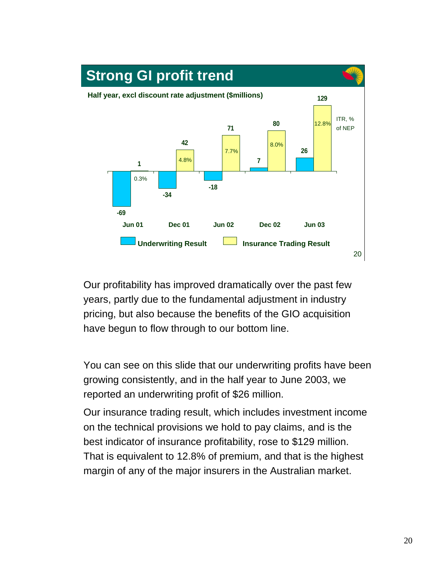

Our profitability has improved dramatically over the past few years, partly due to the fundamental adjustment in industry pricing, but also because the benefits of the GIO acquisition have begun to flow through to our bottom line.

You can see on this slide that our underwriting profits have been growing consistently, and in the half year to June 2003, we reported an underwriting profit of \$26 million.

Our insurance trading result, which includes investment income on the technical provisions we hold to pay claims, and is the best indicator of insurance profitability, rose to \$129 million. That is equivalent to 12.8% of premium, and that is the highest margin of any of the major insurers in the Australian market.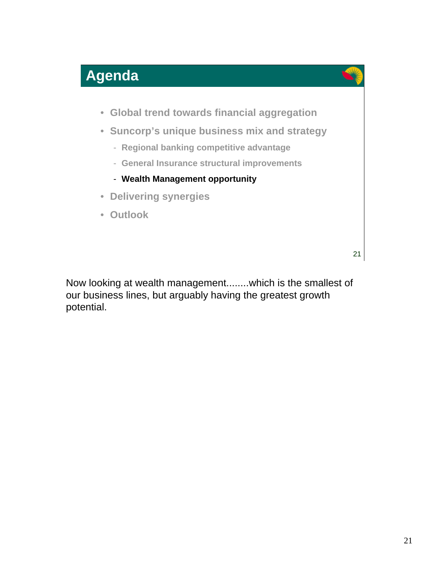





- **Suncorp's unique business mix and strategy**
	- **Regional banking competitive advantage**
	- **General Insurance structural improvements**
	- **Wealth Management opportunity**
- **Delivering synergies**
- **Outlook**

21

Now looking at wealth management........which is the smallest of our business lines, but arguably having the greatest growth potential.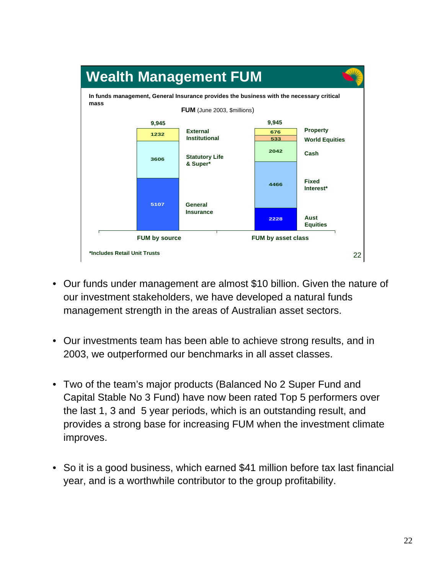

- Our funds under management are almost \$10 billion. Given the nature of our investment stakeholders, we have developed a natural funds management strength in the areas of Australian asset sectors.
- Our investments team has been able to achieve strong results, and in 2003, we outperformed our benchmarks in all asset classes.
- Two of the team's major products (Balanced No 2 Super Fund and Capital Stable No 3 Fund) have now been rated Top 5 performers over the last 1, 3 and 5 year periods, which is an outstanding result, and provides a strong base for increasing FUM when the investment climate improves.
- So it is a good business, which earned \$41 million before tax last financial year, and is a worthwhile contributor to the group profitability.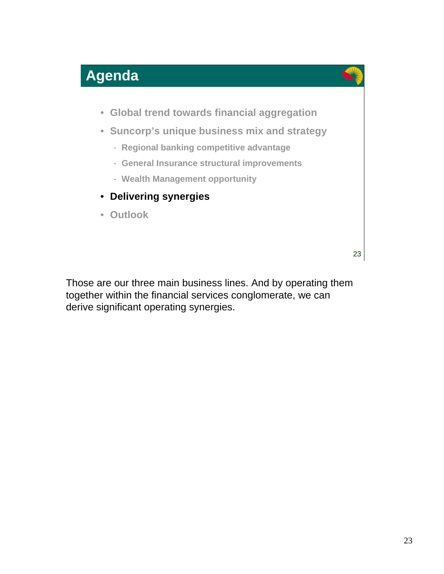





- **Suncorp's unique business mix and strategy**
	- **Regional banking competitive advantage**
	- **General Insurance structural improvements**
	- **Wealth Management opportunity**
- **Delivering synergies**
- **Outlook**

23

Those are our three main business lines. And by operating them together within the financial services conglomerate, we can derive significant operating synergies.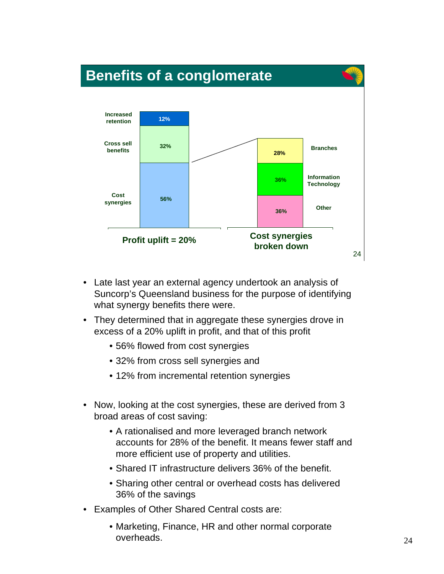

- Late last year an external agency undertook an analysis of Suncorp's Queensland business for the purpose of identifying what synergy benefits there were.
- They determined that in aggregate these synergies drove in excess of a 20% uplift in profit, and that of this profit
	- 56% flowed from cost synergies
	- 32% from cross sell synergies and
	- 12% from incremental retention synergies
- Now, looking at the cost synergies, these are derived from 3 broad areas of cost saving:
	- A rationalised and more leveraged branch network accounts for 28% of the benefit. It means fewer staff and more efficient use of property and utilities.
	- Shared IT infrastructure delivers 36% of the benefit.
	- Sharing other central or overhead costs has delivered 36% of the savings
- Examples of Other Shared Central costs are:
	- Marketing, Finance, HR and other normal corporate overheads.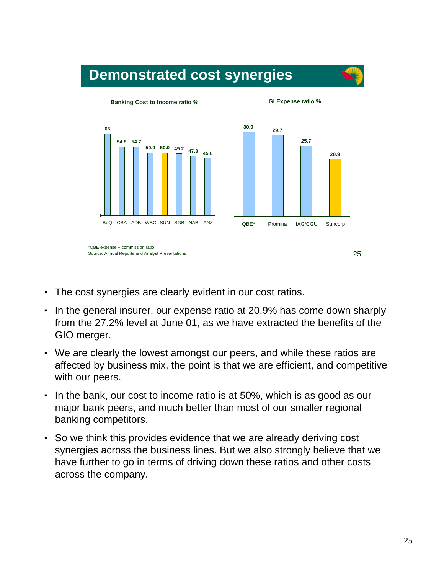

- The cost synergies are clearly evident in our cost ratios.
- In the general insurer, our expense ratio at 20.9% has come down sharply from the 27.2% level at June 01, as we have extracted the benefits of the GIO merger.
- We are clearly the lowest amongst our peers, and while these ratios are affected by business mix, the point is that we are efficient, and competitive with our peers.
- In the bank, our cost to income ratio is at 50%, which is as good as our major bank peers, and much better than most of our smaller regional banking competitors.
- So we think this provides evidence that we are already deriving cost synergies across the business lines. But we also strongly believe that we have further to go in terms of driving down these ratios and other costs across the company.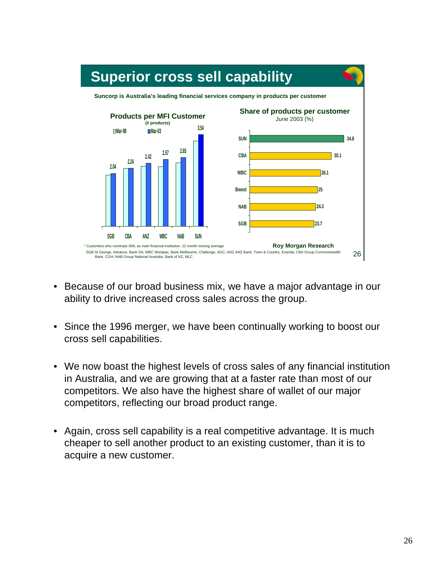

- Because of our broad business mix, we have a major advantage in our ability to drive increased cross sales across the group.
- Since the 1996 merger, we have been continually working to boost our cross sell capabilities.
- We now boast the highest levels of cross sales of any financial institution in Australia, and we are growing that at a faster rate than most of our competitors. We also have the highest share of wallet of our major competitors, reflecting our broad product range.
- Again, cross sell capability is a real competitive advantage. It is much cheaper to sell another product to an existing customer, than it is to acquire a new customer.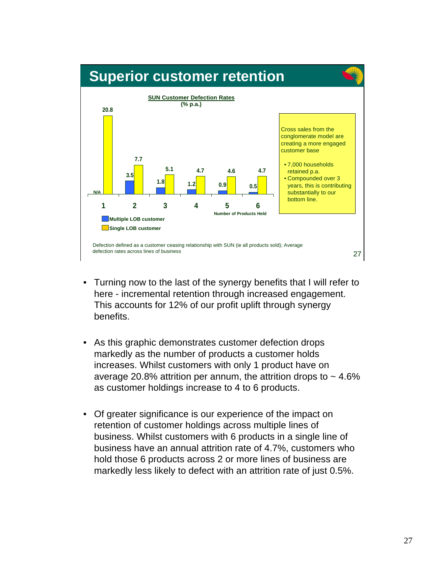

- Turning now to the last of the synergy benefits that I will refer to here - incremental retention through increased engagement. This accounts for 12% of our profit uplift through synergy benefits.
- As this graphic demonstrates customer defection drops markedly as the number of products a customer holds increases. Whilst customers with only 1 product have on average 20.8% attrition per annum, the attrition drops to  $\sim$  4.6% as customer holdings increase to 4 to 6 products.
- Of greater significance is our experience of the impact on retention of customer holdings across multiple lines of business. Whilst customers with 6 products in a single line of business have an annual attrition rate of 4.7%, customers who hold those 6 products across 2 or more lines of business are markedly less likely to defect with an attrition rate of just 0.5%.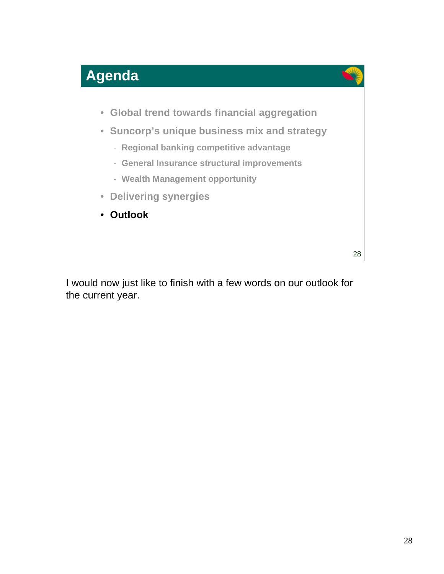





- **Suncorp's unique business mix and strategy**
	- **Regional banking competitive advantage**
	- **General Insurance structural improvements**
	- **Wealth Management opportunity**
- **Delivering synergies**
- **Outlook**

28

I would now just like to finish with a few words on our outlook for the current year.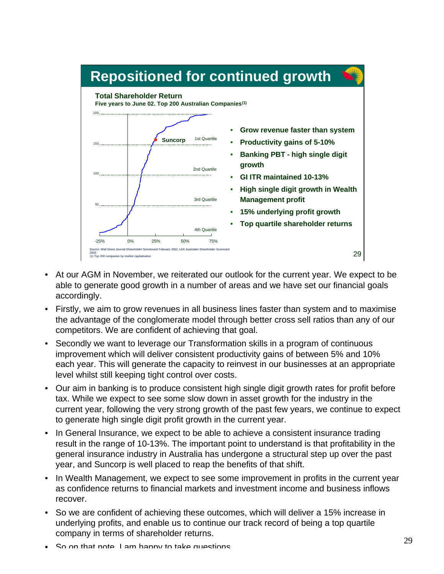#### 29 -25% 0% 25% 50% 75% 1st Quartile 2nd Quartile 3rd Quartile 4th Quartile **Suncorp** 200 150 100 50 **Repositioned for continued growth** Source: Wall Street Journal Shareholder Scoreboard February 2002, LEK Australian Shareholder Scorecard 2002 (1) Top 200 companies by market capitalisation **Total Shareholder Return Five years to June 02. Top 200 Australian Companies(1)** • **Grow revenue faster than system** • **Productivity gains of 5-10%** • **Banking PBT - high single digit growth** • **GI ITR maintained 10-13%** • **High single digit growth in Wealth Management profit** • **15% underlying profit growth** • **Top quartile shareholder returns**

- At our AGM in November, we reiterated our outlook for the current year. We expect to be able to generate good growth in a number of areas and we have set our financial goals accordingly.
- Firstly, we aim to grow revenues in all business lines faster than system and to maximise the advantage of the conglomerate model through better cross sell ratios than any of our competitors. We are confident of achieving that goal.
- Secondly we want to leverage our Transformation skills in a program of continuous improvement which will deliver consistent productivity gains of between 5% and 10% each year. This will generate the capacity to reinvest in our businesses at an appropriate level whilst still keeping tight control over costs.
- Our aim in banking is to produce consistent high single digit growth rates for profit before tax. While we expect to see some slow down in asset growth for the industry in the current year, following the very strong growth of the past few years, we continue to expect to generate high single digit profit growth in the current year.
- In General Insurance, we expect to be able to achieve a consistent insurance trading result in the range of 10-13%. The important point to understand is that profitability in the general insurance industry in Australia has undergone a structural step up over the past year, and Suncorp is well placed to reap the benefits of that shift.
- In Wealth Management, we expect to see some improvement in profits in the current year as confidence returns to financial markets and investment income and business inflows recover.
- So we are confident of achieving these outcomes, which will deliver a 15% increase in underlying profits, and enable us to continue our track record of being a top quartile company in terms of shareholder returns.
- So on that note. I am happy to take questions.